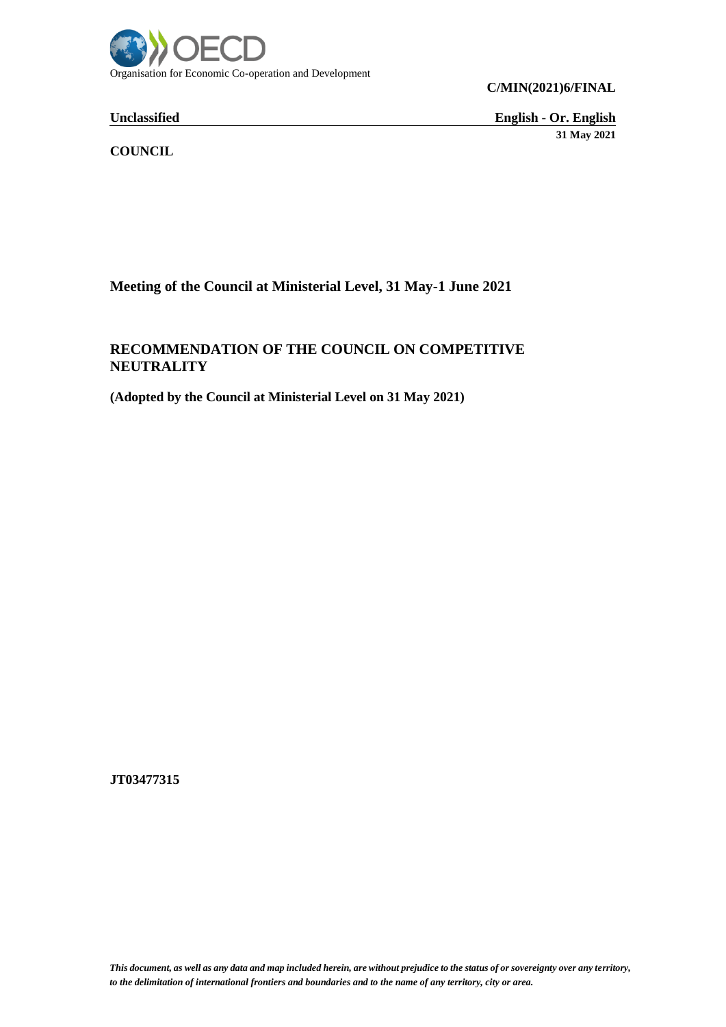

**C/MIN(2021)6/FINAL**

**Unclassified English - Or. English 31 May 2021**

**COUNCIL**

**Meeting of the Council at Ministerial Level, 31 May-1 June 2021**

## **RECOMMENDATION OF THE COUNCIL ON COMPETITIVE NEUTRALITY**

**(Adopted by the Council at Ministerial Level on 31 May 2021)**

**JT03477315**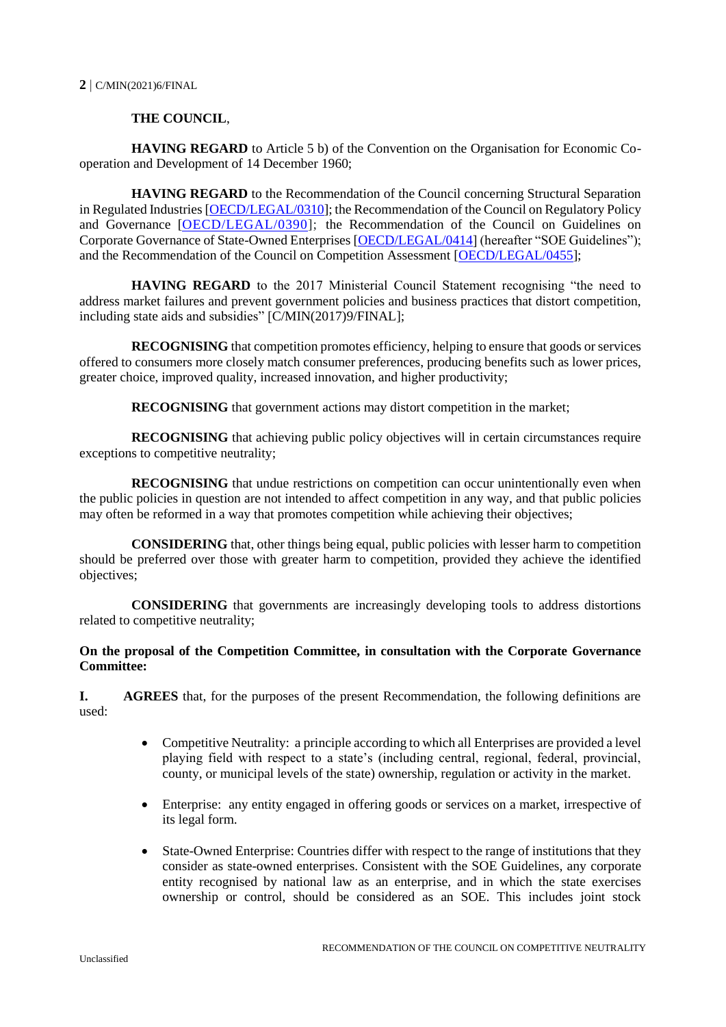## **THE COUNCIL**,

**HAVING REGARD** to Article 5 b) of the Convention on the Organisation for Economic Cooperation and Development of 14 December 1960;

**HAVING REGARD** to the Recommendation of the Council concerning Structural Separation in Regulated Industries [\[OECD/LEGAL/0310\]](https://legalinstruments.oecd.org/en/instruments/OECD-LEGAL-0310); the Recommendation of the Council on Regulatory Policy and Governance [\[OECD/LEGAL/0390\]](https://legalinstruments.oecd.org/en/instruments/OECD-LEGAL-0390); the Recommendation of the Council on Guidelines on Corporate Governance of State-Owned Enterprises [\[OECD/LEGAL/0414\]](https://legalinstruments.oecd.org/en/instruments/OECD-LEGAL-0414) (hereafter "SOE Guidelines"); and the Recommendation of the Council on Competition Assessment [\[OECD/LEGAL/0455\]](https://legalinstruments.oecd.org/en/instruments/OECD-LEGAL-0455);

**HAVING REGARD** to the 2017 Ministerial Council Statement recognising "the need to address market failures and prevent government policies and business practices that distort competition, including state aids and subsidies" [C/MIN(2017)9/FINAL];

**RECOGNISING** that competition promotes efficiency, helping to ensure that goods or services offered to consumers more closely match consumer preferences, producing benefits such as lower prices, greater choice, improved quality, increased innovation, and higher productivity;

**RECOGNISING** that government actions may distort competition in the market;

**RECOGNISING** that achieving public policy objectives will in certain circumstances require exceptions to competitive neutrality;

**RECOGNISING** that undue restrictions on competition can occur unintentionally even when the public policies in question are not intended to affect competition in any way, and that public policies may often be reformed in a way that promotes competition while achieving their objectives;

**CONSIDERING** that, other things being equal, public policies with lesser harm to competition should be preferred over those with greater harm to competition, provided they achieve the identified objectives;

**CONSIDERING** that governments are increasingly developing tools to address distortions related to competitive neutrality;

## **On the proposal of the Competition Committee, in consultation with the Corporate Governance Committee:**

**I. AGREES** that, for the purposes of the present Recommendation, the following definitions are used:

- Competitive Neutrality: a principle according to which all Enterprises are provided a level playing field with respect to a state's (including central, regional, federal, provincial, county, or municipal levels of the state) ownership, regulation or activity in the market.
- Enterprise: any entity engaged in offering goods or services on a market, irrespective of its legal form.
- State-Owned Enterprise: Countries differ with respect to the range of institutions that they consider as state-owned enterprises. Consistent with the SOE Guidelines, any corporate entity recognised by national law as an enterprise, and in which the state exercises ownership or control, should be considered as an SOE. This includes joint stock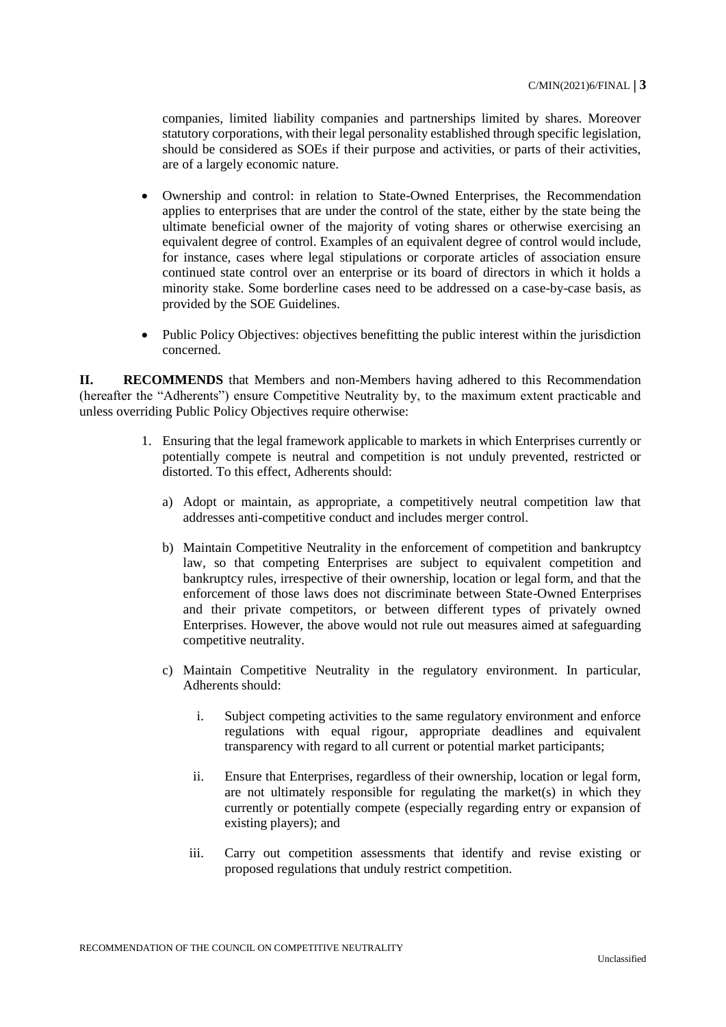companies, limited liability companies and partnerships limited by shares. Moreover statutory corporations, with their legal personality established through specific legislation, should be considered as SOEs if their purpose and activities, or parts of their activities, are of a largely economic nature.

- Ownership and control: in relation to State-Owned Enterprises, the Recommendation applies to enterprises that are under the control of the state, either by the state being the ultimate beneficial owner of the majority of voting shares or otherwise exercising an equivalent degree of control. Examples of an equivalent degree of control would include, for instance, cases where legal stipulations or corporate articles of association ensure continued state control over an enterprise or its board of directors in which it holds a minority stake. Some borderline cases need to be addressed on a case-by-case basis, as provided by the SOE Guidelines.
- Public Policy Objectives: objectives benefitting the public interest within the jurisdiction concerned.

**II. RECOMMENDS** that Members and non-Members having adhered to this Recommendation (hereafter the "Adherents") ensure Competitive Neutrality by, to the maximum extent practicable and unless overriding Public Policy Objectives require otherwise:

- 1. Ensuring that the legal framework applicable to markets in which Enterprises currently or potentially compete is neutral and competition is not unduly prevented, restricted or distorted. To this effect, Adherents should:
	- a) Adopt or maintain, as appropriate, a competitively neutral competition law that addresses anti-competitive conduct and includes merger control.
	- b) Maintain Competitive Neutrality in the enforcement of competition and bankruptcy law, so that competing Enterprises are subject to equivalent competition and bankruptcy rules, irrespective of their ownership, location or legal form, and that the enforcement of those laws does not discriminate between State-Owned Enterprises and their private competitors, or between different types of privately owned Enterprises. However, the above would not rule out measures aimed at safeguarding competitive neutrality.
	- c) Maintain Competitive Neutrality in the regulatory environment. In particular, Adherents should:
		- i. Subject competing activities to the same regulatory environment and enforce regulations with equal rigour, appropriate deadlines and equivalent transparency with regard to all current or potential market participants;
		- ii. Ensure that Enterprises, regardless of their ownership, location or legal form, are not ultimately responsible for regulating the market(s) in which they currently or potentially compete (especially regarding entry or expansion of existing players); and
		- iii. Carry out competition assessments that identify and revise existing or proposed regulations that unduly restrict competition.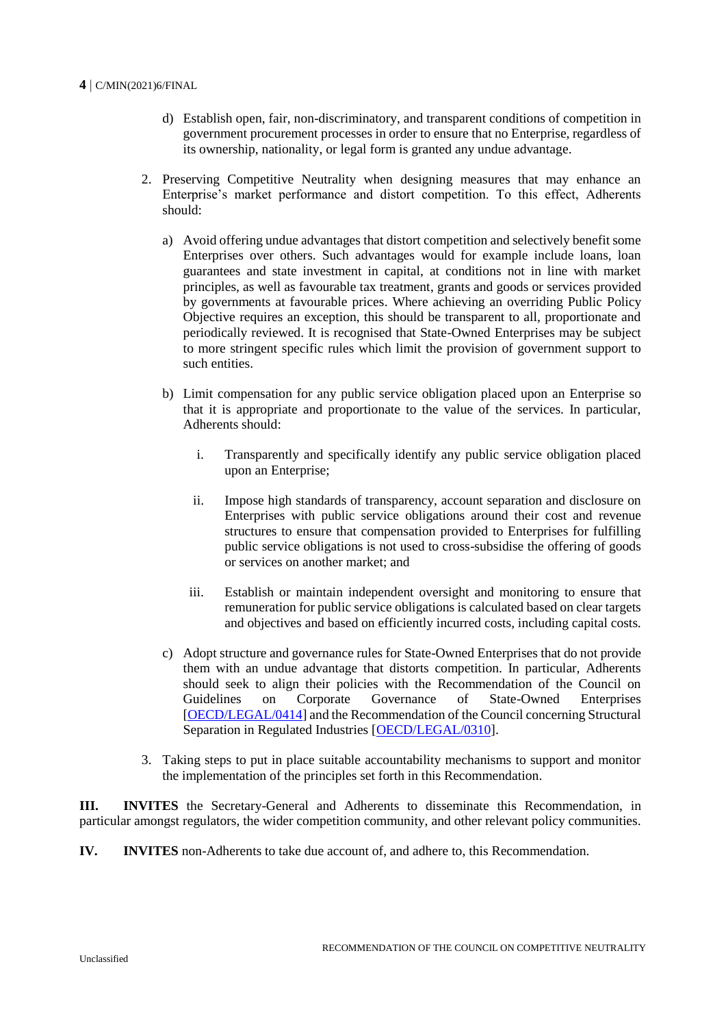## **4** C/MIN(2021)6/FINAL

- d) Establish open, fair, non-discriminatory, and transparent conditions of competition in government procurement processes in order to ensure that no Enterprise, regardless of its ownership, nationality, or legal form is granted any undue advantage.
- 2. Preserving Competitive Neutrality when designing measures that may enhance an Enterprise's market performance and distort competition. To this effect, Adherents should:
	- a) Avoid offering undue advantages that distort competition and selectively benefit some Enterprises over others. Such advantages would for example include loans, loan guarantees and state investment in capital, at conditions not in line with market principles, as well as favourable tax treatment, grants and goods or services provided by governments at favourable prices. Where achieving an overriding Public Policy Objective requires an exception, this should be transparent to all, proportionate and periodically reviewed. It is recognised that State-Owned Enterprises may be subject to more stringent specific rules which limit the provision of government support to such entities.
	- b) Limit compensation for any public service obligation placed upon an Enterprise so that it is appropriate and proportionate to the value of the services. In particular, Adherents should:
		- i. Transparently and specifically identify any public service obligation placed upon an Enterprise;
		- ii. Impose high standards of transparency, account separation and disclosure on Enterprises with public service obligations around their cost and revenue structures to ensure that compensation provided to Enterprises for fulfilling public service obligations is not used to cross-subsidise the offering of goods or services on another market; and
		- iii. Establish or maintain independent oversight and monitoring to ensure that remuneration for public service obligations is calculated based on clear targets and objectives and based on efficiently incurred costs, including capital costs.
	- c) Adopt structure and governance rules for State-Owned Enterprises that do not provide them with an undue advantage that distorts competition. In particular, Adherents should seek to align their policies with the Recommendation of the Council on Guidelines on Corporate Governance of State-Owned Enterprises [\[OECD/LEGAL/0414\]](https://legalinstruments.oecd.org/en/instruments/OECD-LEGAL-0414) and the Recommendation of the Council concerning Structural Separation in Regulated Industries [\[OECD/LEGAL/0310\]](https://legalinstruments.oecd.org/en/instruments/OECD-LEGAL-0310).
- 3. Taking steps to put in place suitable accountability mechanisms to support and monitor the implementation of the principles set forth in this Recommendation.

**III. INVITES** the Secretary-General and Adherents to disseminate this Recommendation, in particular amongst regulators, the wider competition community, and other relevant policy communities.

**IV. INVITES** non-Adherents to take due account of, and adhere to, this Recommendation.